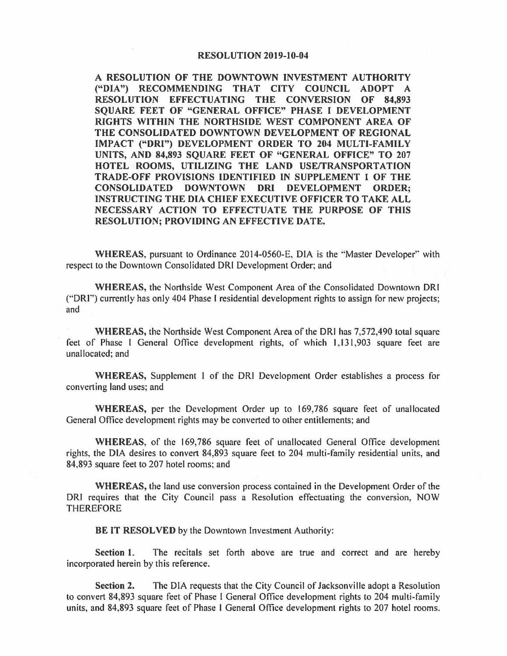## **RESOLUTION 2019-10-04**

**A RESOLUTION OF THE DOWNTOWN INVESTMENT AUTHORITY ("DIA") RECOMMENDING THAT CITY COUNCIL ADOPT A RESOLUTION EFFECTUATING THE CONVERSION OF 84,893 SQUARE FEET OF "GENERAL OFFICE" PHASE** I **DEVELOPMENT RIGHTS WITHIN THE NORTHSIDE WEST COMPONENT AREA OF THE CONSOLIDATED DOWNTOWN DEVELOPMENT OF REGIONAL IMPACT ("DRI") DEVELOPMENT ORDER TO 204 MULTI-FAMILY UNITS, AND 84,893 SQUARE FEET OF "GENERAL OFFICE" TO 207 HOTEL ROOMS, UTILIZING THE LAND USEffRANSPORT ATION TRADE-OFF PROVISIONS IDENTIFIED IN SUPPLEMENT l OF THE CONSOLIDATED DOWNTOWN ORI DEVELOPMENT ORDER; INSTRUCTING THE DIA CHIEF EXECUTIVE OFFICER TO TAKE ALL NECESSARY ACTION TO EFFECTUATE THE PURPOSE OF THIS RESOLUTION; PROVIDING AN EFFECTIVE DATE.** 

**WHEREAS,** pursuant to Ordinance 2014-0560-E, DIA is the "'Master Developer'' with respect to the Downtown Consolidated DRI Development Order; and

**WHEREAS,** the Northside West Component Area of the Consolidated Downtown ORI ("'DRI'') currently has only 404 Phase I residential development rights to assign for new projects; and

**WHEREAS,** the Northside West Component Area of the ORI has 7,572,490 total square feet of Phase I General Office development rights, of which 1,131,903 square feet are unallocated; and

**WHEREAS,** Supplement I of the DRI Development Order establishes a process for converting land uses; and

**WHEREAS,** per the Development Order up to 169,786 square feet of unallocated General Office development rights may be converted to other entitlements; and

**WHEREAS,** of the 169,786 square feet of unallocated General Office development rights, the DIA desires to convert 84,893 square feet to 204 multi-family residential units, and 84,893 square feet to 207 hotel rooms; and

**WHEREAS,** the land use conversion process contained in the Development Order of the DRI requires that the City Council pass a Resolution effectuating the conversion, NOW **THEREFORE** 

**BE IT RESOLVED** by the Downtown Investment Authority:

**Section l.** The recitals set forth above are true and correct and are hereby incorporated herein by this reference.

**Section 2.** The DIA requests that the City Council of Jacksonville adopt a Resolution to convert 84,893 square feet of Phase l General Office development rights to 204 multi-family units, and 84,893 square feet of Phase l General Office development rights to 207 hotel rooms.